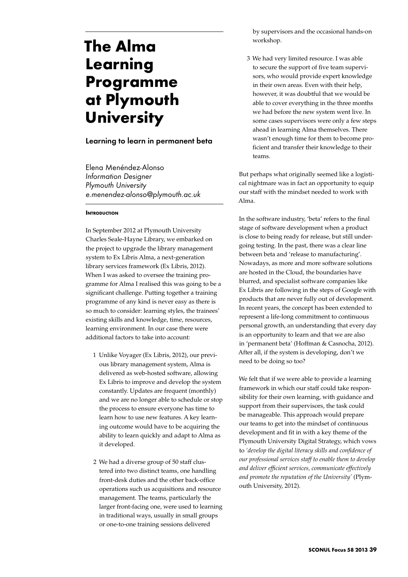# **The Alma Learning Programme at Plymouth University**

# Learning to learn in permanent beta

Elena Menéndez-Alonso *Information Designer Plymouth University e.menendez-alonso@plymouth.ac.uk* 

### **INTRODUCTION**

In September 2012 at Plymouth University Charles Seale-Hayne Library, we embarked on the project to upgrade the library management system to Ex Libris Alma, a next-generation library services framework (Ex Libris, 2012). When I was asked to oversee the training programme for Alma I realised this was going to be a significant challenge. Putting together a training programme of any kind is never easy as there is so much to consider: learning styles, the trainees' existing skills and knowledge, time, resources, learning environment. In our case there were additional factors to take into account:

- 1 Unlike Voyager (Ex Libris, 2012), our previous library management system, Alma is delivered as web-hosted software, allowing Ex Libris to improve and develop the system constantly. Updates are frequent (monthly) and we are no longer able to schedule or stop the process to ensure everyone has time to learn how to use new features. A key learning outcome would have to be acquiring the ability to learn quickly and adapt to Alma as it developed.
- 2 We had a diverse group of 50 staff clustered into two distinct teams, one handling front-desk duties and the other back-office operations such us acquisitions and resource management. The teams, particularly the larger front-facing one, were used to learning in traditional ways, usually in small groups or one-to-one training sessions delivered

by supervisors and the occasional hands-on workshop.

3 We had very limited resource. I was able to secure the support of five team supervisors, who would provide expert knowledge in their own areas. Even with their help, however, it was doubtful that we would be able to cover everything in the three months we had before the new system went live. In some cases supervisors were only a few steps ahead in learning Alma themselves. There wasn't enough time for them to become proficient and transfer their knowledge to their teams.

But perhaps what originally seemed like a logistical nightmare was in fact an opportunity to equip our staff with the mindset needed to work with Alma.

In the software industry, 'beta' refers to the final stage of software development when a product is close to being ready for release, but still undergoing testing. In the past, there was a clear line between beta and 'release to manufacturing'. Nowadays, as more and more software solutions are hosted in the Cloud, the boundaries have blurred, and specialist software companies like Ex Libris are following in the steps of Google with products that are never fully out of development. In recent years, the concept has been extended to represent a life-long commitment to continuous personal growth, an understanding that every day is an opportunity to learn and that we are also in 'permanent beta' (Hoffman & Casnocha, 2012). After all, if the system is developing, don't we need to be doing so too?

We felt that if we were able to provide a learning framework in which our staff could take responsibility for their own learning, with guidance and support from their supervisors, the task could be manageable. This approach would prepare our teams to get into the mindset of continuous development and fit in with a key theme of the Plymouth University Digital Strategy, which vows to *'develop the digital literacy skills and confidence of our professional services staff to enable them to develop and deliver efficient services, communicate effectively and promote the reputation of the University'* (Plymouth University, 2012).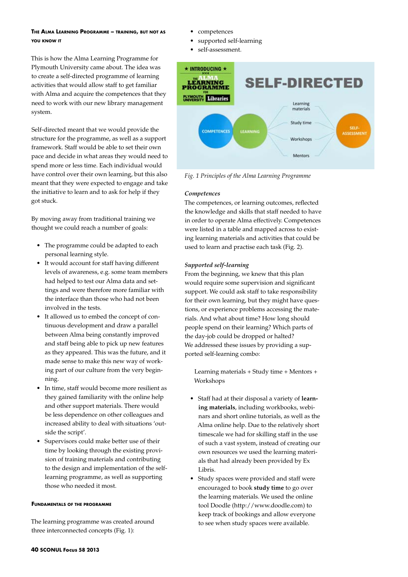# **The Alma Learning Programme – training, but not as you know it**

This is how the Alma Learning Programme for Plymouth University came about. The idea was to create a self-directed programme of learning activities that would allow staff to get familiar with Alma and acquire the competences that they need to work with our new library management system.

Self-directed meant that we would provide the structure for the programme, as well as a support framework. Staff would be able to set their own pace and decide in what areas they would need to spend more or less time. Each individual would have control over their own learning, but this also meant that they were expected to engage and take the initiative to learn and to ask for help if they got stuck.

By moving away from traditional training we thought we could reach a number of goals:

- The programme could be adapted to each personal learning style.
- • It would account for staff having different levels of awareness, e.g. some team members had helped to test our Alma data and settings and were therefore more familiar with the interface than those who had not been involved in the tests.
- It allowed us to embed the concept of continuous development and draw a parallel between Alma being constantly improved and staff being able to pick up new features as they appeared. This was the future, and it made sense to make this new way of working part of our culture from the very beginning.
- In time, staff would become more resilient as they gained familiarity with the online help and other support materials. There would be less dependence on other colleagues and increased ability to deal with situations 'outside the script'.
- Supervisors could make better use of their time by looking through the existing provision of training materials and contributing to the design and implementation of the selflearning programme, as well as supporting those who needed it most.

#### **Fundamentals of the programme**

The learning programme was created around three interconnected concepts (Fig. 1):

- competences
- supported self-learning
- self-assessment.



*Fig. 1 Principles of the Alma Learning Programme* 

### *Competences*

The competences, or learning outcomes, reflected the knowledge and skills that staff needed to have in order to operate Alma effectively. Competences were listed in a table and mapped across to existing learning materials and activities that could be used to learn and practise each task (Fig. 2).

### *Supported self-learning*

From the beginning, we knew that this plan would require some supervision and significant support. We could ask staff to take responsibility for their own learning, but they might have questions, or experience problems accessing the materials. And what about time? How long should people spend on their learning? Which parts of the day-job could be dropped or halted? We addressed these issues by providing a supported self-learning combo:

Learning materials + Study time + Mentors + Workshops

- • Staff had at their disposal a variety of **learning materials**, including workbooks, webinars and short online tutorials, as well as the Alma online help. Due to the relatively short timescale we had for skilling staff in the use of such a vast system, instead of creating our own resources we used the learning materials that had already been provided by Ex Libris.
- • Study spaces were provided and staff were encouraged to book **study time** to go over the learning materials. We used the online tool Doodle (http://www.doodle.com) to keep track of bookings and allow everyone to see when study spaces were available.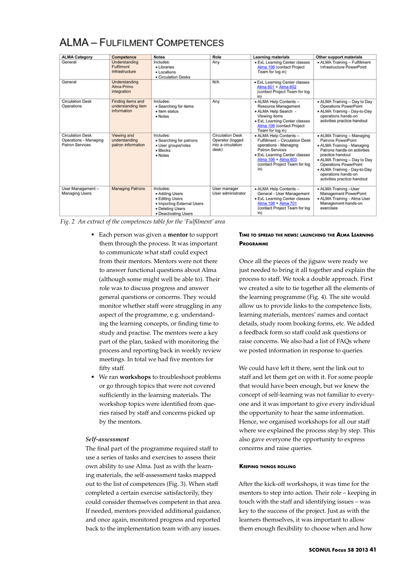| <b>ALMA Category</b>                                                | Competence                                             | <b>Notes</b>                                                                                                             | Role                                                                       | <b>Learning materials</b>                                                                                                                                                                            | Other support materials                                                                                                                                                                                                                                                          |
|---------------------------------------------------------------------|--------------------------------------------------------|--------------------------------------------------------------------------------------------------------------------------|----------------------------------------------------------------------------|------------------------------------------------------------------------------------------------------------------------------------------------------------------------------------------------------|----------------------------------------------------------------------------------------------------------------------------------------------------------------------------------------------------------------------------------------------------------------------------------|
| General                                                             | Understanding<br>Fulfilment<br>Infrastructure          | Includes:<br>· Libraries<br>· Locations<br>· Circulation Desks                                                           | Any                                                                        | · ExL Learning Center classes<br>Alma 106 (contact Project<br>Team for log in)                                                                                                                       | • ALMA Training - Fulfillment<br>Infrastructure PowerPoint                                                                                                                                                                                                                       |
| General                                                             | Understanding<br>Alma-Primo<br>integration             |                                                                                                                          | N/A                                                                        | · ExL Learning Center classes<br>Alma 601 + Alma 602<br>(contact Project Team for log<br>in)                                                                                                         |                                                                                                                                                                                                                                                                                  |
| <b>Circulation Desk</b><br>Operations                               | Finding items and<br>understanding item<br>information | Includes:<br>· Searching for items<br>· Item status<br>· Notes                                                           | Any                                                                        | · ALMA Help Contents -<br>Resource Management<br>· ALMA Help Search -<br>Viewing items<br>· ExL Learning Center classes<br>Alma 106 (contact Project<br>Team for log in)                             | . ALMA Training - Day to Day<br>Operations PowerPoint<br>• ALMA Training - Day-to-Day<br>operations hands-on<br>activities practice handout                                                                                                                                      |
| <b>Circulation Desk</b><br>Operations - Managing<br>Patron Services | Viewing and<br>understanding<br>patron information     | Includes:<br>• Searching for patrons<br>· User groups/roles<br>$\bullet$ Blocks<br>· Notes                               | <b>Circulation Desk</b><br>Operator (logged<br>into a circulation<br>desk) | · ALMA Help Contents -<br>Fulfillment - Circulation Desk<br>operations - Managing<br>Patron Services<br>· ExL Learning Center classes<br>Alma 106 + Alma 603<br>(contact Project Team for log<br>in) | · ALMA Training - Managing<br>Patrons PowerPoint<br>· ALMA Training - Managing<br>Patrons hands-on activities<br>practice handout<br>. ALMA Training - Day to Day<br>Operations PowerPoint<br>· ALMA Training - Day-to-Day<br>operations hands-on<br>activities practice handout |
| User Management-<br>Managing Users                                  | <b>Managing Patrons</b>                                | Includes:<br>• Adding Users<br>• Editing Users<br>• Importing External Users<br>• Deleting Users<br>· Deactivating Users | User manager<br>User administrator                                         | · ALMA Help Contents -<br>General - User Management<br>· ExL Learning Center classes<br>Alma 106 + Alma 701<br>(contact Project Team for log<br>in)                                                  | · ALMA Training -User<br>Management PowerPoint<br>• ALMA Training - Alma User<br>Management hands-on<br>exercises                                                                                                                                                                |

# **ALMA - FULFILMENT COMPETENCES**

*Fig. 2 An extract of the competences table for the 'Fulfilment' area* 

- • Each person was given a **mentor** to support them through the process. It was important to communicate what staff could expect from their mentors. Mentors were not there to answer functional questions about Alma (although some might well be able to). Their role was to discuss progress and answer general questions or concerns. They would monitor whether staff were struggling in any aspect of the programme, e.g. understanding the learning concepts, or finding time to study and practise. The mentors were a key part of the plan, tasked with monitoring the process and reporting back in weekly review meetings. In total we had five mentors for fifty staff.
- We ran **workshops** to troubleshoot problems or go through topics that were not covered sufficiently in the learning materials. The workshop topics were identified from queries raised by staff and concerns picked up by the mentors.

# *Self-assessment*

The final part of the programme required staff to use a series of tasks and exercises to assess their own ability to use Alma. Just as with the learning materials, the self-assessment tasks mapped out to the list of competences (Fig. 3). When staff completed a certain exercise satisfactorily, they could consider themselves competent in that area. If needed, mentors provided additional guidance, and once again, monitored progress and reported back to the implementation team with any issues.

# **Time to spread the news: launching the Alma Learning Programme**

Once all the pieces of the jigsaw were ready we just needed to bring it all together and explain the process to staff. We took a double approach. First we created a site to tie together all the elements of the learning programme (Fig. 4). The site would allow us to provide links to the competence lists, learning materials, mentors' names and contact details, study room booking forms, etc. We added a feedback form so staff could ask questions or raise concerns. We also had a list of FAQs where we posted information in response to queries.

We could have left it there, sent the link out to staff and let them get on with it. For some people that would have been enough, but we knew the concept of self-learning was not familiar to everyone and it was important to give every individual the opportunity to hear the same information. Hence, we organised workshops for all our staff where we explained the process step by step. This also gave everyone the opportunity to express concerns and raise queries.

# **Keeping things rolling**

After the kick-off workshops, it was time for the mentors to step into action. Their role – keeping in touch with the staff and identifying issues – was key to the success of the project. Just as with the learners themselves, it was important to allow them enough flexibility to choose when and how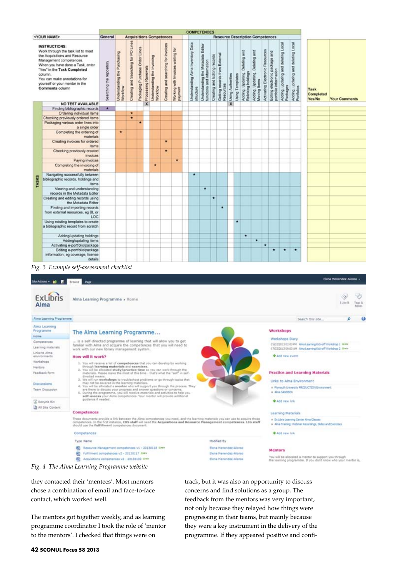|                                                                                                                                                                                                                                                                                           |                                                                                 |                          |                                             |                                     |                                |                              |                                         |                                     |                                                 |                                   |           | <b>COMPETENCES</b>                                             |                              |                                            |                         |                 |                                                         |                                                   |                                 |                                                         |                                                    |                                                      |                             |                      |
|-------------------------------------------------------------------------------------------------------------------------------------------------------------------------------------------------------------------------------------------------------------------------------------------|---------------------------------------------------------------------------------|--------------------------|---------------------------------------------|-------------------------------------|--------------------------------|------------------------------|-----------------------------------------|-------------------------------------|-------------------------------------------------|-----------------------------------|-----------|----------------------------------------------------------------|------------------------------|--------------------------------------------|-------------------------|-----------------|---------------------------------------------------------|---------------------------------------------------|---------------------------------|---------------------------------------------------------|----------------------------------------------------|------------------------------------------------------|-----------------------------|----------------------|
| <your name=""><br/><b>Resource Description Competences</b><br/>General<br/><b>Acquisitions Competences</b></your>                                                                                                                                                                         |                                                                                 |                          |                                             |                                     |                                |                              |                                         |                                     |                                                 |                                   |           |                                                                |                              |                                            |                         |                 |                                                         |                                                   |                                 |                                                         |                                                    |                                                      |                             |                      |
| <b>INSTRUCTIONS:</b><br>Work through the task list to meet<br>the Acquisitions and Resource<br>Management competences.<br>When you have done a Task, enter<br>"Yes" in the Task Completed<br>column.<br>You can make annotations for<br>yourself or your mentor in the<br>Comments column |                                                                                 | Searching the repository | the Purchasing<br>Understanding<br>Workflow | Creating and Searching for PO Lines | Packaging Purchase Order Lines | <b>x</b> Processing Renewals | Understanding the Invoicing<br>Workflow | Creating and searching for invoices | waiting for<br>Working with Invoices<br>payment | Understanding Alma Inventory Data | structure | Understanding the Metadata Editor<br>functions and information | Creating and Editing records | Getting records from External<br>Resources | Using Authorities       | Using Templates | Deleting and<br>Adding, Updating,<br>Relinking holdings | Deleting and<br>Adding, Updating,<br>Moving Items | Activating Electronic Resources | Editing electronic package and<br>portfolio information | deleting Local<br>Adding, updating and<br>Packages | deleting Local<br>Adding, updating and<br>Portfolios | Task<br>Completed<br>Yes/No | <b>Your Comments</b> |
|                                                                                                                                                                                                                                                                                           | NO TEST AVAILABLE                                                               |                          |                                             |                                     |                                |                              |                                         |                                     |                                                 |                                   |           |                                                                |                              |                                            | $\overline{\mathbf{x}}$ |                 |                                                         |                                                   |                                 |                                                         |                                                    |                                                      |                             |                      |
|                                                                                                                                                                                                                                                                                           | Finding bibliographic records                                                   | ٠                        |                                             |                                     |                                |                              |                                         |                                     |                                                 |                                   |           |                                                                |                              |                                            |                         |                 |                                                         |                                                   |                                 |                                                         |                                                    |                                                      |                             |                      |
|                                                                                                                                                                                                                                                                                           | Ordering individual items                                                       |                          |                                             | ٠                                   |                                |                              |                                         |                                     |                                                 |                                   |           |                                                                |                              |                                            |                         |                 |                                                         |                                                   |                                 |                                                         |                                                    |                                                      |                             |                      |
|                                                                                                                                                                                                                                                                                           | Checking previously ordered items                                               |                          |                                             | $\frac{1}{\sqrt{2}}$                |                                |                              |                                         |                                     |                                                 |                                   |           |                                                                |                              |                                            |                         |                 |                                                         |                                                   |                                 |                                                         |                                                    |                                                      |                             |                      |
|                                                                                                                                                                                                                                                                                           | Packaging various order lines into<br>a single order                            |                          |                                             |                                     | ٠                              |                              |                                         |                                     |                                                 |                                   |           |                                                                |                              |                                            |                         |                 |                                                         |                                                   |                                 |                                                         |                                                    |                                                      |                             |                      |
|                                                                                                                                                                                                                                                                                           | Completing the ordering of<br>materials                                         |                          | ٠                                           |                                     |                                |                              |                                         |                                     |                                                 |                                   |           |                                                                |                              |                                            |                         |                 |                                                         |                                                   |                                 |                                                         |                                                    |                                                      |                             |                      |
|                                                                                                                                                                                                                                                                                           | Creating invoices for ordered<br>items                                          |                          |                                             |                                     |                                |                              |                                         | ٠                                   |                                                 |                                   |           |                                                                |                              |                                            |                         |                 |                                                         |                                                   |                                 |                                                         |                                                    |                                                      |                             |                      |
|                                                                                                                                                                                                                                                                                           | Checking previously created<br><i>invoices</i>                                  |                          |                                             |                                     |                                |                              |                                         | ٠                                   |                                                 |                                   |           |                                                                |                              |                                            |                         |                 |                                                         |                                                   |                                 |                                                         |                                                    |                                                      |                             |                      |
|                                                                                                                                                                                                                                                                                           | Paying invoices                                                                 |                          |                                             |                                     |                                |                              |                                         |                                     | ٠                                               |                                   |           |                                                                |                              |                                            |                         |                 |                                                         |                                                   |                                 |                                                         |                                                    |                                                      |                             |                      |
|                                                                                                                                                                                                                                                                                           | Completing the invoicing of<br>materials                                        |                          |                                             |                                     |                                |                              | ٠                                       |                                     |                                                 |                                   |           |                                                                |                              |                                            |                         |                 |                                                         |                                                   |                                 |                                                         |                                                    |                                                      |                             |                      |
| TASKS                                                                                                                                                                                                                                                                                     | Navigating successfully between<br>bibliographic records, holdings and<br>items |                          |                                             |                                     |                                |                              |                                         |                                     |                                                 |                                   | ٠         |                                                                |                              |                                            |                         |                 |                                                         |                                                   |                                 |                                                         |                                                    |                                                      |                             |                      |
|                                                                                                                                                                                                                                                                                           | Viewing and understanding<br>records in the Metadata Editor                     |                          |                                             |                                     |                                |                              |                                         |                                     |                                                 |                                   |           | ٠                                                              |                              |                                            |                         |                 |                                                         |                                                   |                                 |                                                         |                                                    |                                                      |                             |                      |
|                                                                                                                                                                                                                                                                                           | Creating and editing records using<br>the Metadata Editor                       |                          |                                             |                                     |                                |                              |                                         |                                     |                                                 |                                   |           |                                                                | ٠                            |                                            |                         |                 |                                                         |                                                   |                                 |                                                         |                                                    |                                                      |                             |                      |
|                                                                                                                                                                                                                                                                                           | Finding and importing records<br>from external resources, eg BL or<br>LOC       |                          |                                             |                                     |                                |                              |                                         |                                     |                                                 |                                   |           |                                                                |                              | ٠                                          |                         |                 |                                                         |                                                   |                                 |                                                         |                                                    |                                                      |                             |                      |
|                                                                                                                                                                                                                                                                                           | Using existing templates to create<br>a bibliographic record from scratch       |                          |                                             |                                     |                                |                              |                                         |                                     |                                                 |                                   |           |                                                                |                              |                                            |                         | ٠               |                                                         |                                                   |                                 |                                                         |                                                    |                                                      |                             |                      |
|                                                                                                                                                                                                                                                                                           | Adding/updating holdings                                                        |                          |                                             |                                     |                                |                              |                                         |                                     |                                                 |                                   |           |                                                                |                              |                                            |                         |                 | ٠                                                       |                                                   |                                 |                                                         |                                                    |                                                      |                             |                      |
|                                                                                                                                                                                                                                                                                           | Adding/updating items                                                           |                          |                                             |                                     |                                |                              |                                         |                                     |                                                 |                                   |           |                                                                |                              |                                            |                         |                 |                                                         | ٠                                                 |                                 |                                                         |                                                    |                                                      |                             |                      |
|                                                                                                                                                                                                                                                                                           | Activating e-portfolio/package                                                  |                          |                                             |                                     |                                |                              |                                         |                                     |                                                 |                                   |           |                                                                |                              |                                            |                         |                 |                                                         |                                                   | ٠                               |                                                         |                                                    |                                                      |                             |                      |
|                                                                                                                                                                                                                                                                                           | Edting e-portfolio/package<br>information, eg coverage, license<br>details      |                          |                                             |                                     |                                |                              |                                         |                                     |                                                 |                                   |           |                                                                |                              |                                            |                         |                 |                                                         |                                                   |                                 | ۰                                                       | $\bullet$                                          | ۰                                                    |                             |                      |

*Fig. 3 Example self-assessment checklist* 

| SteAtliens . M E                                                                                                                                                                             | <b>Page</b>                                                                                                                                                                                                                                                                                                                                                                                                                                                                                                                                                                                                                                                                                                                                                                                                                                                                                                                                                                                                         |                                                                         | Elena Menendez-Alonso +                                                                                                                                                                                                                                                                                                             |  |  |  |  |  |  |
|----------------------------------------------------------------------------------------------------------------------------------------------------------------------------------------------|---------------------------------------------------------------------------------------------------------------------------------------------------------------------------------------------------------------------------------------------------------------------------------------------------------------------------------------------------------------------------------------------------------------------------------------------------------------------------------------------------------------------------------------------------------------------------------------------------------------------------------------------------------------------------------------------------------------------------------------------------------------------------------------------------------------------------------------------------------------------------------------------------------------------------------------------------------------------------------------------------------------------|-------------------------------------------------------------------------|-------------------------------------------------------------------------------------------------------------------------------------------------------------------------------------------------------------------------------------------------------------------------------------------------------------------------------------|--|--|--|--|--|--|
| ExLibris<br>Alma                                                                                                                                                                             | Alma Learning Programme . Home                                                                                                                                                                                                                                                                                                                                                                                                                                                                                                                                                                                                                                                                                                                                                                                                                                                                                                                                                                                      |                                                                         | T Like It<br>Taigs<br>Nature                                                                                                                                                                                                                                                                                                        |  |  |  |  |  |  |
| Alma Learning Programme:                                                                                                                                                                     |                                                                                                                                                                                                                                                                                                                                                                                                                                                                                                                                                                                                                                                                                                                                                                                                                                                                                                                                                                                                                     |                                                                         | Ð<br>Search this site                                                                                                                                                                                                                                                                                                               |  |  |  |  |  |  |
| Alma Learning<br>Programme<br>Home<br>Competences<br>Learning materials:<br>Links to Alma<br>stinarmoniuma<br>Workshops<br><b>Hentors</b><br>Feedback form<br>Discussions<br>Team Discussion | The Alma Learning Programme<br>is a self-directed programme of learning that will allow you to get<br>familiar with Alma and acquire the competences that you will need to<br>work with our new library management system.<br>How will it work?<br>1. You will receive a list of competences that you can develop by working<br>through learning materials and exercises.<br>2. You will be allocated study/practice time so you can work through the<br>materials. Please make the most of this time - that's what the "self" in self-<br>directed means.<br>3. We will run workshops to troubleshoot problems or go through topics that<br>may not be covered in the learning materials.<br>4. You will be allocated a menter who will support you through the process. They<br>are there to docute your progress and anower questions or concerns.<br>5. During the programme, you will receive materials and activities to help you.<br>self-assess your Alma competences. Your mentor will provide additional. |                                                                         | <b>Workshops</b><br>Workshops Diary<br>05/02/2013 02:00 PM Alma Learning Kidi-off Workshop 1 G HRV<br>07/02/2013 09:00 AM Alma Learning Kid-off Warkshop 2 Black<br><b>W</b> Add new event<br><b>Practice and Learning Materials</b><br>Links to Alma Environment<br>a Plynouth University PRODUCTION Brivansment<br>a Alea SANDROX |  |  |  |  |  |  |
| A Recycle Sin<br>All Site Content                                                                                                                                                            | guidance if needed.<br>Competences<br>These documents provide a link between the Alma competences you need, and the learning materials you can use to acquire those<br>competences. In the first instance, CDS staff will need the Acquisitions and Resource Management competences. LTG staff<br>should upe the Fulfillment competences document.                                                                                                                                                                                                                                                                                                                                                                                                                                                                                                                                                                                                                                                                  |                                                                         | + Add new link<br>Learning Materials<br># Ex Libris Learning Center Alma Classes<br>. Alma Training: Webmar Recordings, Skites and Evercises                                                                                                                                                                                        |  |  |  |  |  |  |
|                                                                                                                                                                                              | Competences<br>Type Name                                                                                                                                                                                                                                                                                                                                                                                                                                                                                                                                                                                                                                                                                                                                                                                                                                                                                                                                                                                            | <b>Hodified By</b>                                                      | + Add new link                                                                                                                                                                                                                                                                                                                      |  |  |  |  |  |  |
|                                                                                                                                                                                              | 國<br>Resource Management competences v1 - 20130118 GMM<br>£h<br>Fulfilment competences v2 - 20130117 GHP<br>Acquisitions competences v2 - 30130130 WHH                                                                                                                                                                                                                                                                                                                                                                                                                                                                                                                                                                                                                                                                                                                                                                                                                                                              | Elena Metendez-Alonso<br>Elena Manendez-Algnso<br>Elena Henendez-Algnes | Mentors<br>You will be allocated a mentor to support you through<br>the learning programme. If you don't know who your mentor is,                                                                                                                                                                                                   |  |  |  |  |  |  |
|                                                                                                                                                                                              | Fig. 4 The Alma Learning Programme website                                                                                                                                                                                                                                                                                                                                                                                                                                                                                                                                                                                                                                                                                                                                                                                                                                                                                                                                                                          |                                                                         |                                                                                                                                                                                                                                                                                                                                     |  |  |  |  |  |  |

they contacted their 'mentees'. Most mentors chose a combination of email and face-to-face contact, which worked well.

The mentors got together weekly, and as learning programme coordinator I took the role of 'mentor to the mentors'. I checked that things were on

track, but it was also an opportunity to discuss concerns and find solutions as a group. The feedback from the mentors was very important, not only because they relayed how things were progressing in their teams, but mainly because they were a key instrument in the delivery of the programme. If they appeared positive and confi